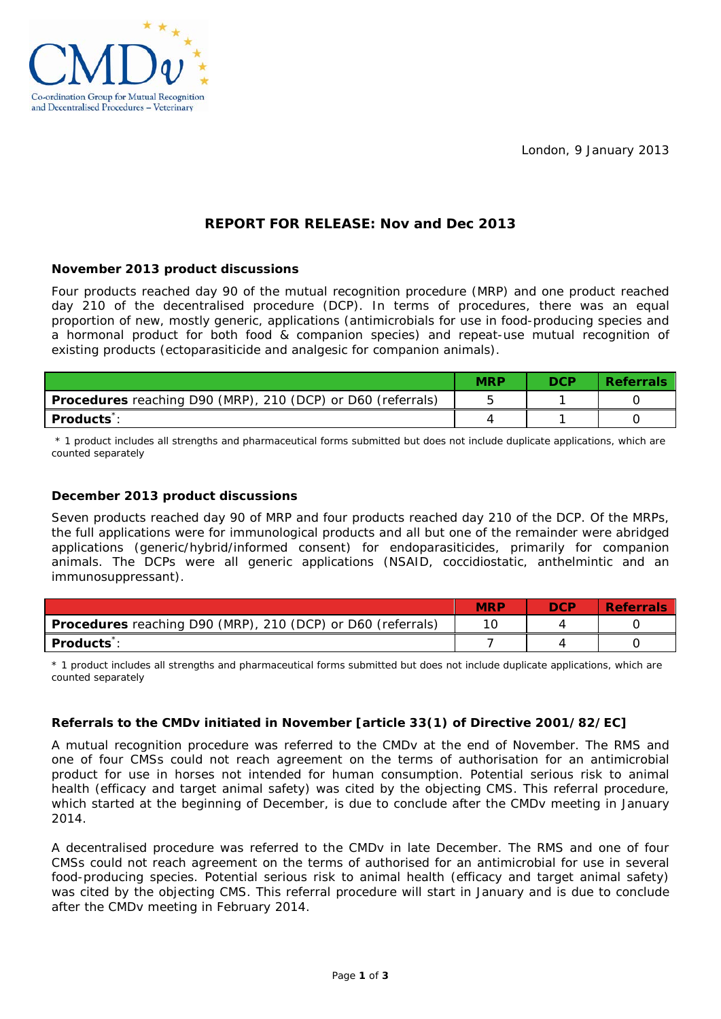London, 9 January 2013



# **REPORT FOR RELEASE: Nov and Dec 2013**

# **November 2013 product discussions**

Four products reached day 90 of the mutual recognition procedure (MRP) and one product reached day 210 of the decentralised procedure (DCP). In terms of procedures, there was an equal proportion of new, mostly generic, applications (antimicrobials for use in food-producing species and a hormonal product for both food & companion species) and repeat-use mutual recognition of existing products (ectoparasiticide and analgesic for companion animals).

|                                                                    | <b>MRP</b> | <b>DCP</b> | <b>Referrals</b> |
|--------------------------------------------------------------------|------------|------------|------------------|
| <b>Procedures</b> reaching D90 (MRP), 210 (DCP) or D60 (referrals) |            |            |                  |
| <b>Products</b> :                                                  |            |            |                  |

\* 1 product includes all strengths and pharmaceutical forms submitted but does not include duplicate applications, which are counted separately

# **December 2013 product discussions**

Seven products reached day 90 of MRP and four products reached day 210 of the DCP. Of the MRPs, the full applications were for immunological products and all but one of the remainder were abridged applications (generic/hybrid/informed consent) for endoparasiticides, primarily for companion animals. The DCPs were all generic applications (NSAID, coccidiostatic, anthelmintic and an immunosuppressant).

|                                                             | MRE | nee | Referrals |
|-------------------------------------------------------------|-----|-----|-----------|
| Procedures reaching D90 (MRP), 210 (DCP) or D60 (referrals) |     |     |           |
| <b>Products</b> :                                           |     |     |           |

\* 1 product includes all strengths and pharmaceutical forms submitted but does not include duplicate applications, which are counted separately

# **Referrals to the CMDv initiated in November [article 33(1) of Directive 2001/82/EC]**

A mutual recognition procedure was referred to the CMDv at the end of November. The RMS and one of four CMSs could not reach agreement on the terms of authorisation for an antimicrobial product for use in horses not intended for human consumption. Potential serious risk to animal health (efficacy and target animal safety) was cited by the objecting CMS. This referral procedure, which started at the beginning of December, is due to conclude after the CMDv meeting in January 2014.

A decentralised procedure was referred to the CMDv in late December. The RMS and one of four CMSs could not reach agreement on the terms of authorised for an antimicrobial for use in several food-producing species. Potential serious risk to animal health (efficacy and target animal safety) was cited by the objecting CMS. This referral procedure will start in January and is due to conclude after the CMDv meeting in February 2014.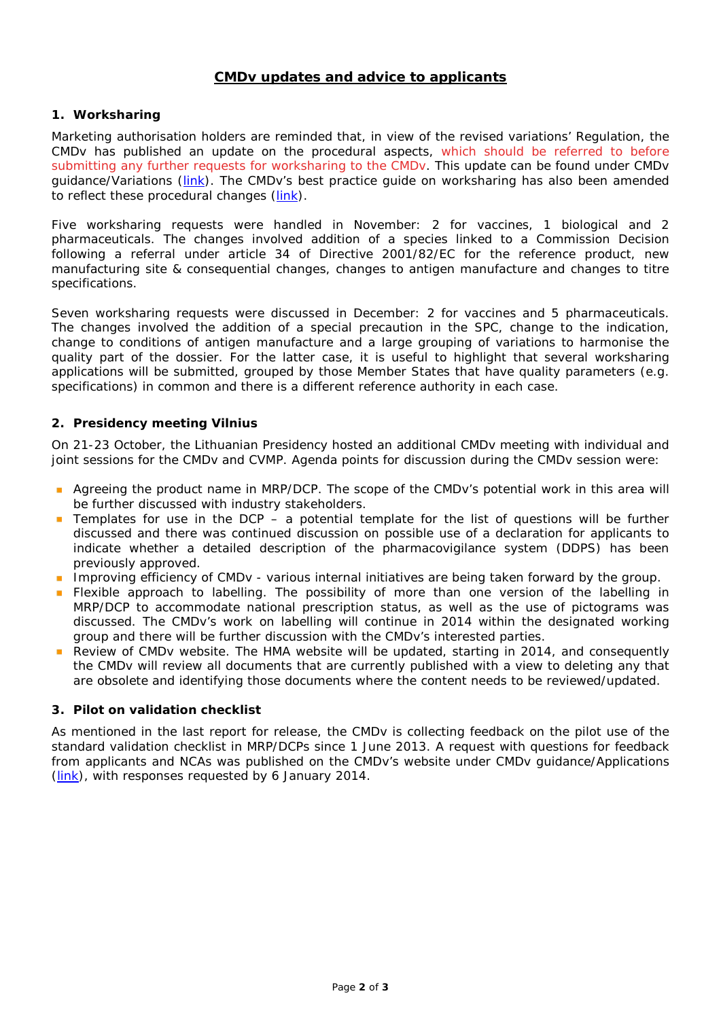# **CMDv updates and advice to applicants**

#### **1. Worksharing**

Marketing authorisation holders are reminded that, in view of the revised variations' Regulation, the CMDv has published an update on the procedural aspects, which should be referred to before submitting any further requests for worksharing to the CMDv. This update can be found under CMDv guidance/Variations [\(link\)](http://www.hma.eu/uploads/media/Worksharing_procedural_update_Nov_2013.pdf). The CMDv's best practice guide on worksharing has also been amended to reflect these procedural changes [\(link\)](http://www.hma.eu/uploads/media/Nov13_BPG-018-03_Worksharing.pdf).

Five worksharing requests were handled in November: 2 for vaccines, 1 biological and 2 pharmaceuticals. The changes involved addition of a species linked to a Commission Decision following a referral under article 34 of Directive 2001/82/EC for the reference product, new manufacturing site & consequential changes, changes to antigen manufacture and changes to titre specifications.

Seven worksharing requests were discussed in December: 2 for vaccines and 5 pharmaceuticals. The changes involved the addition of a special precaution in the SPC, change to the indication, change to conditions of antigen manufacture and a large grouping of variations to harmonise the quality part of the dossier. For the latter case, it is useful to highlight that several worksharing applications will be submitted, grouped by those Member States that have quality parameters (e.g. specifications) in common and there is a different reference authority in each case.

# **2. Presidency meeting Vilnius**

On 21-23 October, the Lithuanian Presidency hosted an additional CMDv meeting with individual and joint sessions for the CMDv and CVMP. Agenda points for discussion during the CMDv session were:

- Agreeing the product name in MRP/DCP. The scope of the CMDv's potential work in this area will be further discussed with industry stakeholders.
- **The Templates for use in the DCP** a potential template for the list of questions will be further discussed and there was continued discussion on possible use of a declaration for applicants to indicate whether a detailed description of the pharmacovigilance system (DDPS) has been previously approved.
- **Improving efficiency of CMDv various internal initiatives are being taken forward by the group.**
- Flexible approach to labelling. The possibility of more than one version of the labelling in  $\mathbf{m}$ MRP/DCP to accommodate national prescription status, as well as the use of pictograms was discussed. The CMDv's work on labelling will continue in 2014 within the designated working group and there will be further discussion with the CMDv's interested parties.
- Review of CMDv website. The HMA website will be updated, starting in 2014, and consequently the CMDv will review all documents that are currently published with a view to deleting any that are obsolete and identifying those documents where the content needs to be reviewed/updated.

#### **3. Pilot on validation checklist**

As mentioned in the last report for release, the CMDv is collecting feedback on the pilot use of the standard validation checklist in MRP/DCPs since 1 June 2013. A request with questions for feedback from applicants and NCAs was published on the CMDv's website under CMDv guidance/Applications [\(link\)](http://www.hma.eu/161.html), with responses requested by 6 January 2014.